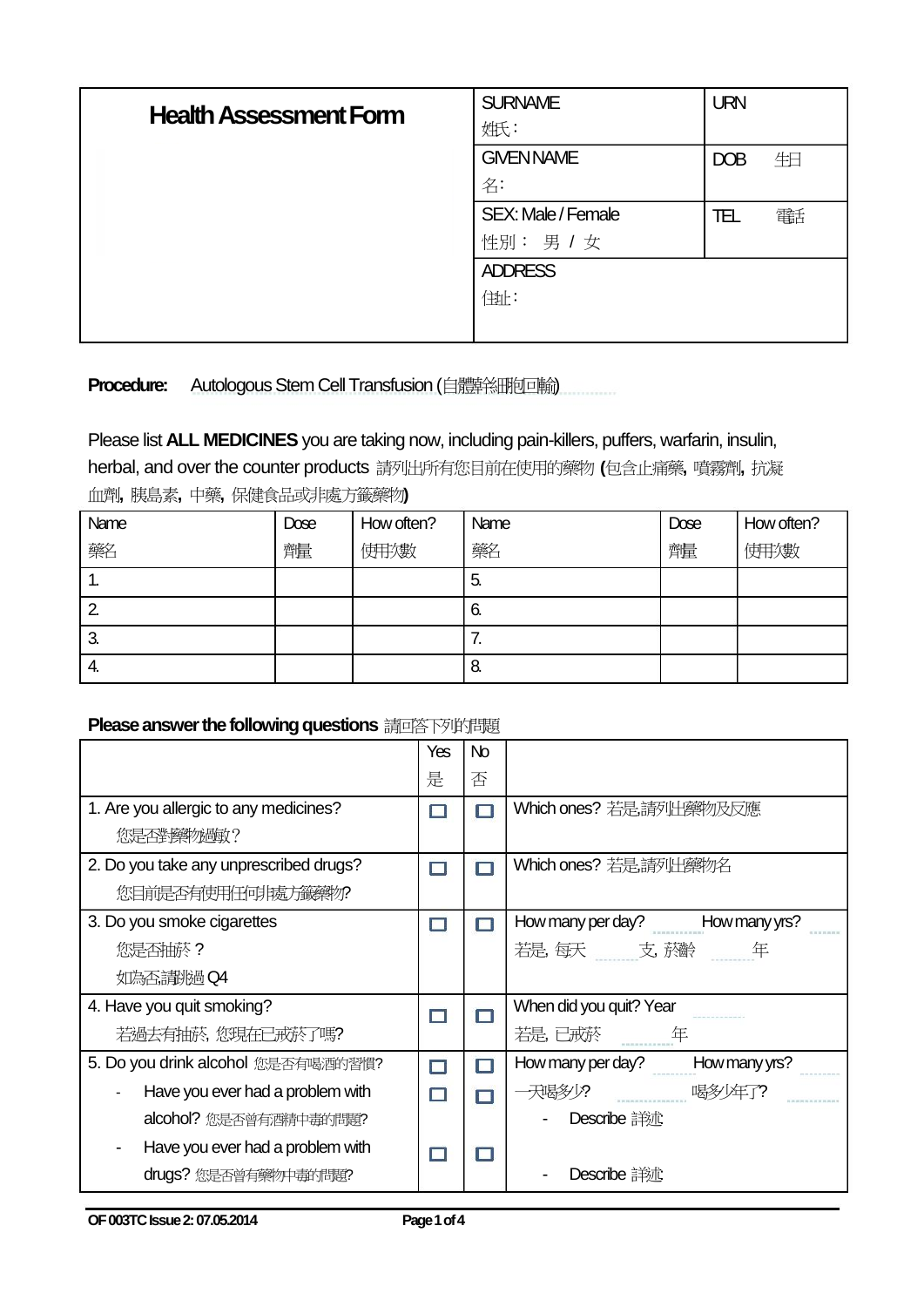| <b>Health Assessment Form</b> | <b>SURNAME</b>     | <b>URN</b> |
|-------------------------------|--------------------|------------|
|                               | 姓氏:                |            |
|                               | <b>GIVEN NAME</b>  | 生日<br>DOB  |
|                               | 名:                 |            |
|                               | SEX: Male / Female | 審託<br>TEL  |
|                               | 性別: 男 / 女          |            |
|                               | <b>ADDRESS</b>     |            |
|                               | 佳址:                |            |
|                               |                    |            |

**Procedure:** Autologous Stem Cell Transfusion (自體幹細胞回輸)

## Please list **ALL MEDICINES** you are taking now, including pain-killers, puffers, warfarin, insulin,

herbal, and over the counter products 請列出所有您目前在使用的藥物 **(**包含止痛藥**,** 噴霧劑**,** 抗凝 血劑**,** 胰島素**,** 中藥**,** 保健食品或非處方籤藥物**)** 

| Name | Dose | How often? | Name | Dose | How often? |
|------|------|------------|------|------|------------|
| 藥名   | 醰    | 使用发数       | 藥名   | 醰    | 使用/數       |
| . .  |      |            | 5.   |      |            |
| 2    |      |            | 6.   |      |            |
| 3.   |      |            | 7.   |      |            |
| 4.   |      |            | 8.   |      |            |

### **Please answer the following questions** 請回答下列的問題

|                                        | Yes | N <sub>o</sub> |                                    |
|----------------------------------------|-----|----------------|------------------------------------|
|                                        | 是   | 否              |                                    |
| 1. Are you allergic to any medicines?  |     |                | Which ones? 若是請列出藥物及反應             |
| 您是否對藥物過敏?                              |     |                |                                    |
| 2. Do you take any unprescribed drugs? |     | ▬              | Which ones? 若是請列出藥物名               |
| 您目前是否有使用任何非處方籤藥物?                      |     |                |                                    |
| 3. Do you smoke cigarettes             |     |                | How many per day?<br>How many yrs? |
| 您是否抽菸?                                 |     |                | 若是,每天    支,菸齡<br>年                 |
| 如為否請挑過Q4                               |     |                |                                    |
| 4. Have you quit smoking?              |     |                | When did you quit? Year            |
| 若過去有抽菸, 您現在已戒菸了嗎?                      |     |                | 若是,已戒菸<br>年                        |
| 5. Do you drink alcohol 您是否有喝酒的習慣?     |     | п              | How many per day?<br>How many yrs? |
| Have you ever had a problem with       |     |                | 一天喝多り?<br>喝多年了?                    |
| alcohol?您是否曾有酒精中毒的問題?                  |     |                | Describe 詳述                        |
| Have you ever had a problem with       |     |                |                                    |
| drugs?您是否曾有藥物中毒的問題?                    |     |                | <b>Describe 詳述</b>                 |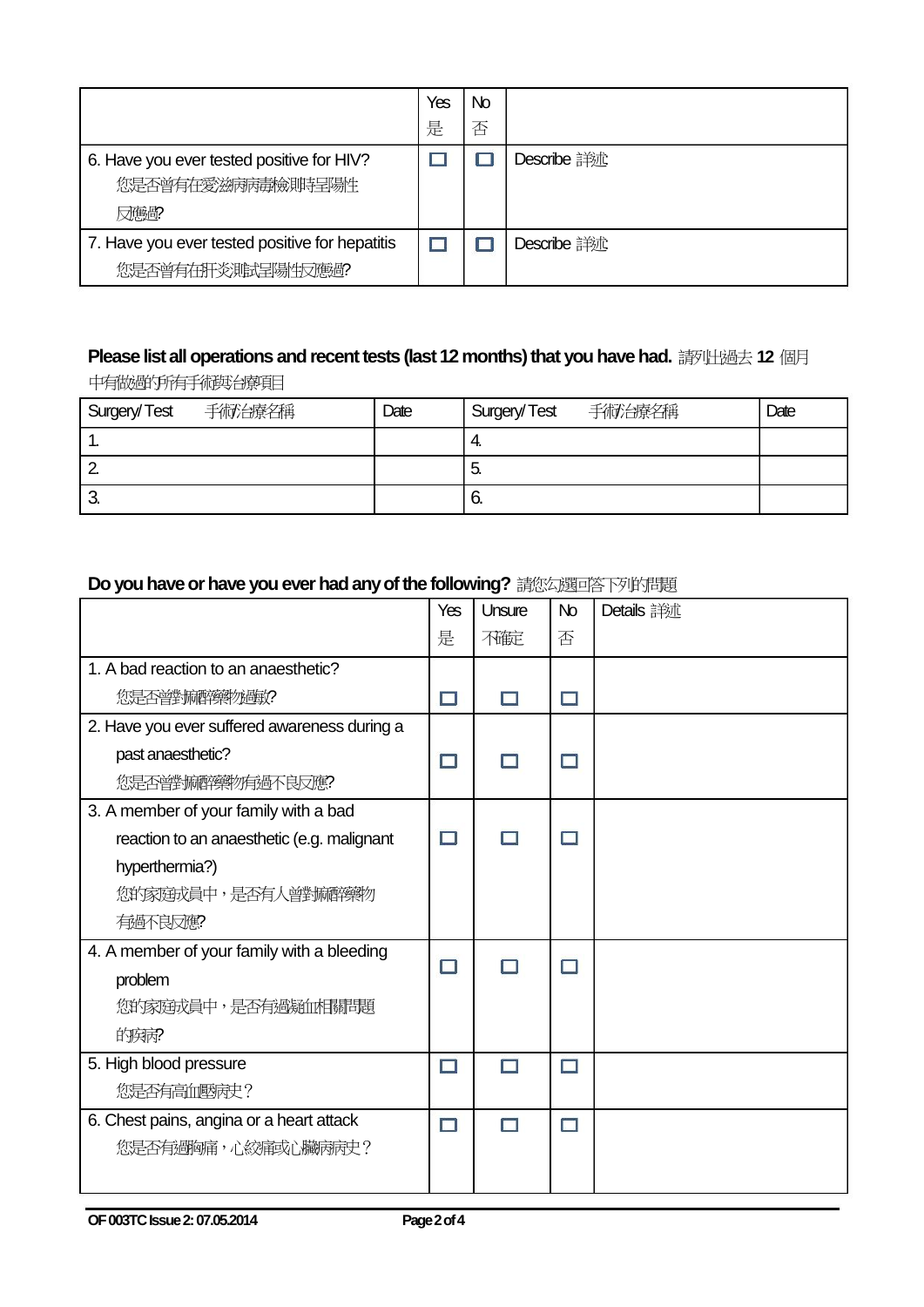|                                                                       | Yes | No |                    |
|-----------------------------------------------------------------------|-----|----|--------------------|
|                                                                       | 是   | 否  |                    |
| 6. Have you ever tested positive for HIV?<br>您是否曾有在愛滋病病毒檢則時呈陽性<br>反應的 |     |    | <b>Describe 詳述</b> |
| 7. Have you ever tested positive for hepatitis                        |     |    | Describe 詳述        |
| 您是否曾有在肝炎測試呈陽性反應過?                                                     |     |    |                    |

# **Please list all operations and recent tests (last 12 months) that you have had.** 請列出過去 **12** 個月

中有做過的所有手術與治療項目

| 手術治療名稱<br>Surgery/Test | Date | Surgery/Test 手術治療名稱 | Date |
|------------------------|------|---------------------|------|
| . .                    |      | 4.                  |      |
|                        |      | C.                  |      |
| J.                     |      | O.                  |      |

#### **Do you have or have you ever had any of the following?** 請您勾選回答下列的問題

|                                              | Yes | Unsure | No | Details 詳述 |
|----------------------------------------------|-----|--------|----|------------|
|                                              | 是   | 不確定    | 否  |            |
| 1. A bad reaction to an anaesthetic?         |     |        |    |            |
| 您是否普选麻醉藥物過敏?                                 | □   | П      | П  |            |
| 2. Have you ever suffered awareness during a |     |        |    |            |
| past anaesthetic?                            | □   |        | П  |            |
| 您是否曾對麻醉藥物有過不良反應?                             |     |        |    |            |
| 3. A member of your family with a bad        |     |        |    |            |
| reaction to an anaesthetic (e.g. malignant   | ⊓   |        |    |            |
| hyperthermia?)                               |     |        |    |            |
| 您的家庭成員中,是否有人曾對麻醉藥物                           |     |        |    |            |
| 有過不良反應?                                      |     |        |    |            |
| 4. A member of your family with a bleeding   | □   |        | П  |            |
| problem                                      |     |        |    |            |
| 您的家庭成員中,是否有過疑血相關問題                           |     |        |    |            |
| 的疾病?                                         |     |        |    |            |
| 5. High blood pressure                       | ⊓   | ⊓      | п  |            |
| 您是否有高血壓病史?                                   |     |        |    |            |
| 6. Chest pains, angina or a heart attack     | п   | П      | П  |            |
| 您是否有過胸痛,心絞痛或心臟病病史?                           |     |        |    |            |
|                                              |     |        |    |            |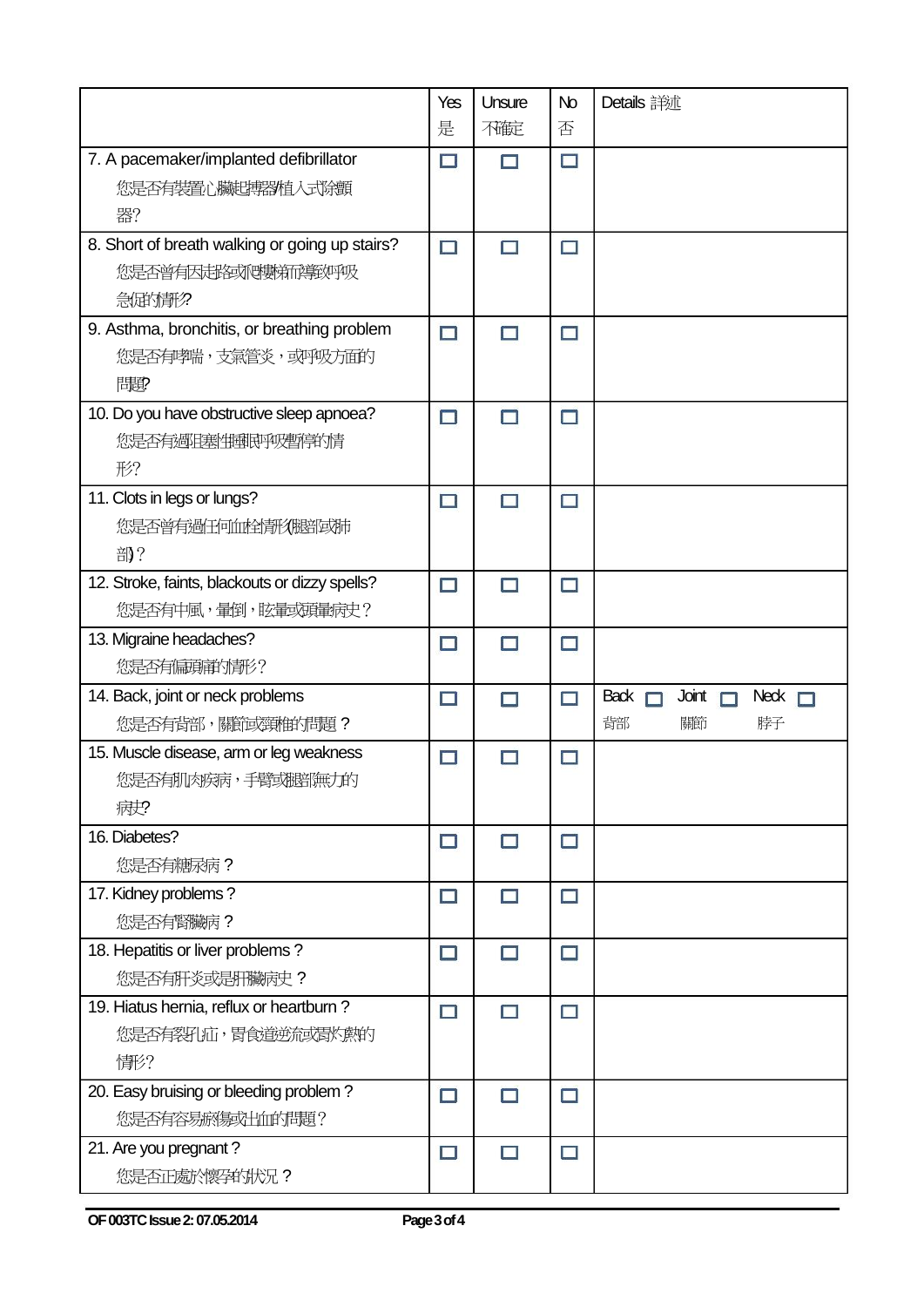|                                                | Yes    | Unsure | No     | Details 詳述                          |
|------------------------------------------------|--------|--------|--------|-------------------------------------|
|                                                | 是      | 不確定    | 否      |                                     |
| 7. A pacemaker/implanted defibrillator         | $\Box$ | П      | $\Box$ |                                     |
| 您是否有裝置心臟起轉器植入式除顫                               |        |        |        |                                     |
| 器?                                             |        |        |        |                                     |
| 8. Short of breath walking or going up stairs? | $\Box$ | □      | $\Box$ |                                     |
| 您是否曾有因起路或爬數新祥敦呼吸                               |        |        |        |                                     |
| 急屈的情形?                                         |        |        |        |                                     |
| 9. Asthma, bronchitis, or breathing problem    | $\Box$ | П      | $\Box$ |                                     |
| 您是否有哮喘,支氣管炎,或呼吸方面的                             |        |        |        |                                     |
| 問題                                             |        |        |        |                                     |
| 10. Do you have obstructive sleep apnoea?      | $\Box$ | $\Box$ | $\Box$ |                                     |
| 您是否有過阻塞性睡眠呼吸暫停的情                               |        |        |        |                                     |
| 形?                                             |        |        |        |                                     |
| 11. Clots in legs or lungs?                    | $\Box$ | П      | $\Box$ |                                     |
| 您是否曾有過任何血栓情形很賠償期                               |        |        |        |                                     |
| 部?                                             |        |        |        |                                     |
| 12. Stroke, faints, blackouts or dizzy spells? | □      | П      | □      |                                     |
| 您是否有中風,暈倒,眩暈或頭暈病史?                             |        |        |        |                                     |
| 13. Migraine headaches?                        | $\Box$ | П      | Ξ      |                                     |
| 您是否有偏頭痛的情形?                                    |        |        |        |                                     |
| 14. Back, joint or neck problems               | □      | П      | $\Box$ | Back $\Box$<br>Joint<br>Neck $\Box$ |
| 您是否有背部,關節或頸椎外問題?                               |        |        |        | 背部<br>關節<br>脖子                      |
| 15. Muscle disease, arm or leg weakness        | $\Box$ | П      | $\Box$ |                                     |
| 您是否有肌肉疾病,手臂或腿部無力的                              |        |        |        |                                     |
| 病史?                                            |        |        |        |                                     |
| 16. Diabetes?                                  | $\Box$ | $\Box$ | $\Box$ |                                     |
| 您是否有糖尿病?                                       |        |        |        |                                     |
| 17. Kidney problems?                           | $\Box$ | П      | $\Box$ |                                     |
| 您是否有腎臟病?                                       |        |        |        |                                     |
| 18. Hepatitis or liver problems?               | $\Box$ | $\Box$ | $\Box$ |                                     |
| 您是否有肝炎或是肝臟病史?                                  |        |        |        |                                     |
| 19. Hiatus hernia, reflux or heartburn?        | □      | $\Box$ | $\Box$ |                                     |
| 您是否有裂孔疝,胃食道逆流或胃灼敷的                             |        |        |        |                                     |
| 情形?                                            |        |        |        |                                     |
| 20. Easy bruising or bleeding problem?         | □      | □      | $\Box$ |                                     |
| 您是否有容易瘀傷或出血的問題?                                |        |        |        |                                     |
| 21. Are you pregnant?                          | □      | П      | □      |                                     |
| 您是否正處於懷孕的狀況?                                   |        |        |        |                                     |